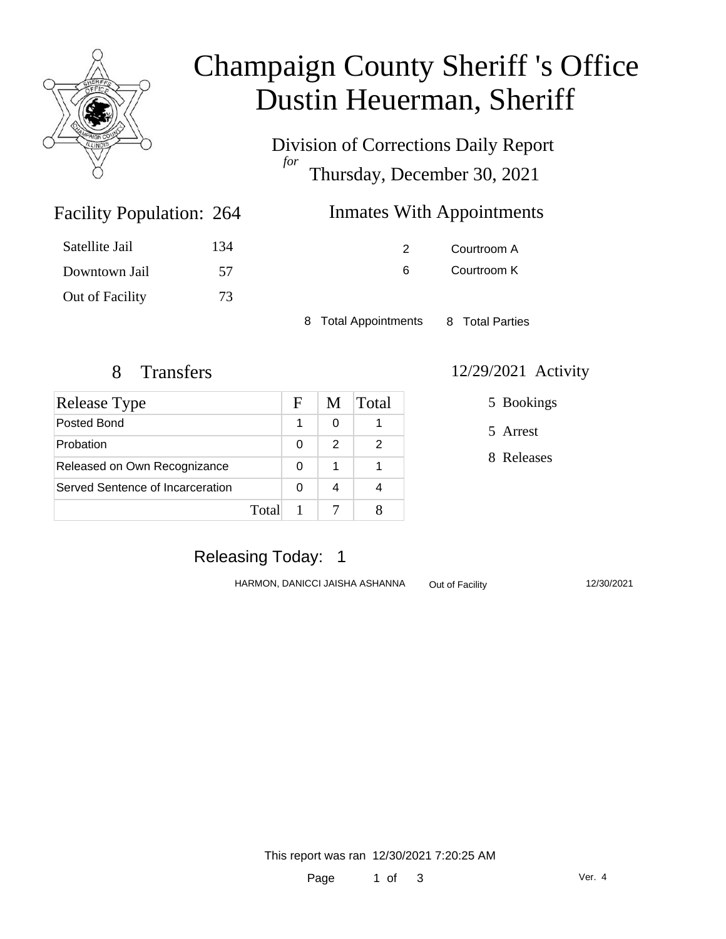

# Champaign County Sheriff 's Office Dustin Heuerman, Sheriff

Division of Corrections Daily Report *for* Thursday, December 30, 2021

# Inmates With Appointments

| Satellite Jail  | 134 |
|-----------------|-----|
| Downtown Jail   | 57  |
| Out of Facility | 73  |

Facility Population: 264

2 Courtroom A 6 Courtroom K

8 Total Appointments 8 Total Parties

| <b>Release Type</b>              |       | F | M | Total |
|----------------------------------|-------|---|---|-------|
| Posted Bond                      |       |   | O |       |
| Probation                        |       | 0 | 2 | 2     |
| Released on Own Recognizance     |       | 0 | 1 |       |
| Served Sentence of Incarceration |       | 0 |   |       |
|                                  | Total |   |   |       |

#### 8 Transfers 12/29/2021 Activity

5 Bookings

5 Arrest

8 Releases

## Releasing Today: 1

HARMON, DANICCI JAISHA ASHANNA Out of Facility 12/30/2021

This report was ran 12/30/2021 7:20:25 AM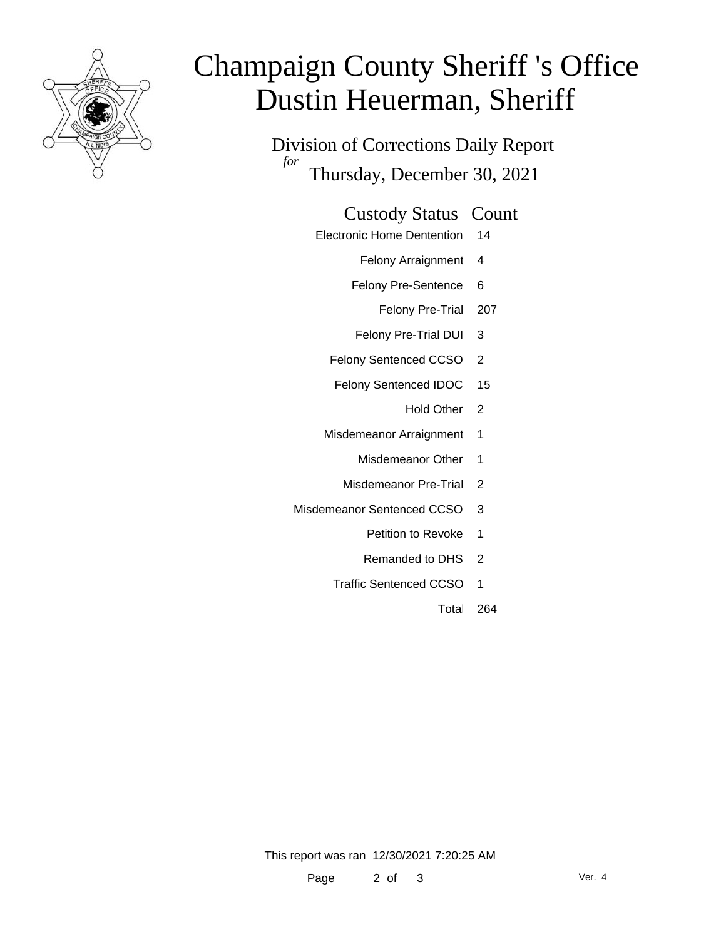

# Champaign County Sheriff 's Office Dustin Heuerman, Sheriff

Division of Corrections Daily Report *for* Thursday, December 30, 2021

#### Custody Status Count

- Electronic Home Dentention 14
	- Felony Arraignment 4
	- Felony Pre-Sentence 6
		- Felony Pre-Trial 207
	- Felony Pre-Trial DUI 3
	- Felony Sentenced CCSO 2
	- Felony Sentenced IDOC 15
		- Hold Other 2
	- Misdemeanor Arraignment 1
		- Misdemeanor Other 1
		- Misdemeanor Pre-Trial 2
- Misdemeanor Sentenced CCSO 3
	- Petition to Revoke 1
	- Remanded to DHS 2
	- Traffic Sentenced CCSO 1
		- Total 264

This report was ran 12/30/2021 7:20:25 AM